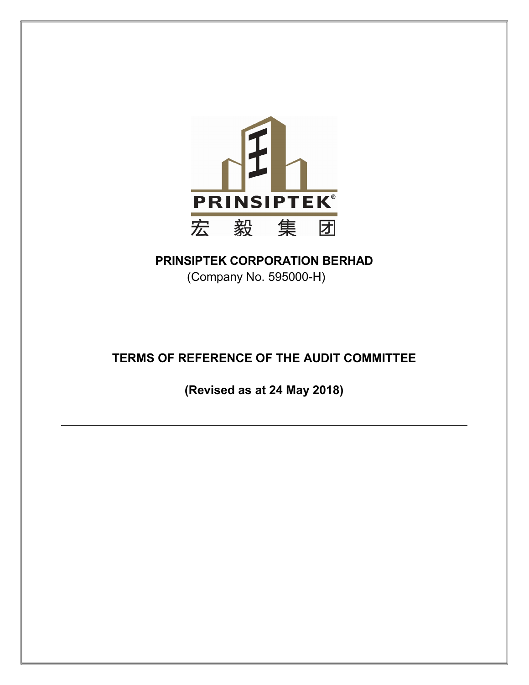

# PRINSIPTEK CORPORATION BERHAD

(Company No. 595000-H)

# TERMS OF REFERENCE OF THE AUDIT COMMITTEE

(Revised as at 24 May 2018)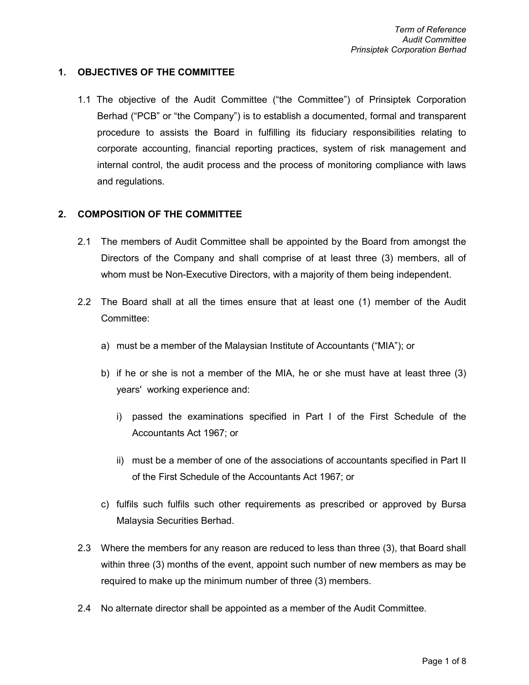## 1. OBJECTIVES OF THE COMMITTEE

1.1 The objective of the Audit Committee ("the Committee") of Prinsiptek Corporation Berhad ("PCB" or "the Company") is to establish a documented, formal and transparent procedure to assists the Board in fulfilling its fiduciary responsibilities relating to corporate accounting, financial reporting practices, system of risk management and internal control, the audit process and the process of monitoring compliance with laws and regulations.

#### 2. COMPOSITION OF THE COMMITTEE

- 2.1 The members of Audit Committee shall be appointed by the Board from amongst the Directors of the Company and shall comprise of at least three (3) members, all of whom must be Non-Executive Directors, with a majority of them being independent.
- 2.2 The Board shall at all the times ensure that at least one (1) member of the Audit Committee:
	- a) must be a member of the Malaysian Institute of Accountants ("MIA"); or
	- b) if he or she is not a member of the MIA, he or she must have at least three (3) years' working experience and:
		- i) passed the examinations specified in Part I of the First Schedule of the Accountants Act 1967; or
		- ii) must be a member of one of the associations of accountants specified in Part II of the First Schedule of the Accountants Act 1967; or
	- c) fulfils such fulfils such other requirements as prescribed or approved by Bursa Malaysia Securities Berhad.
- 2.3 Where the members for any reason are reduced to less than three (3), that Board shall within three (3) months of the event, appoint such number of new members as may be required to make up the minimum number of three (3) members.
- 2.4 No alternate director shall be appointed as a member of the Audit Committee.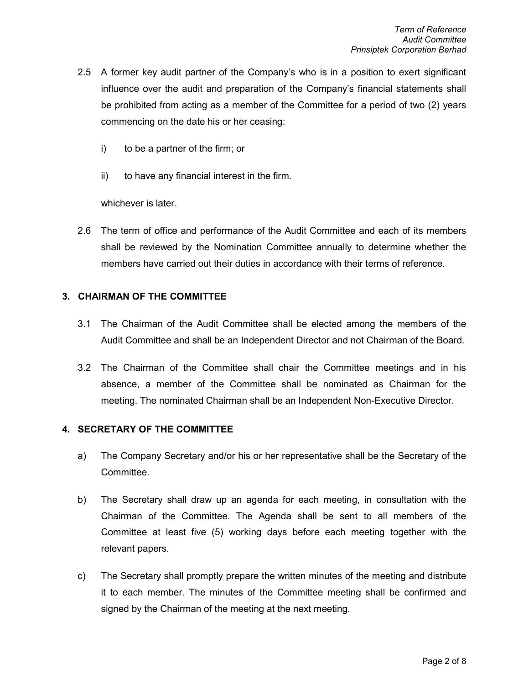- 2.5 A former key audit partner of the Company's who is in a position to exert significant influence over the audit and preparation of the Company's financial statements shall be prohibited from acting as a member of the Committee for a period of two (2) years commencing on the date his or her ceasing:
	- i) to be a partner of the firm; or
	- ii) to have any financial interest in the firm.

whichever is later.

2.6 The term of office and performance of the Audit Committee and each of its members shall be reviewed by the Nomination Committee annually to determine whether the members have carried out their duties in accordance with their terms of reference.

## 3. CHAIRMAN OF THE COMMITTEE

- 3.1 The Chairman of the Audit Committee shall be elected among the members of the Audit Committee and shall be an Independent Director and not Chairman of the Board.
- 3.2 The Chairman of the Committee shall chair the Committee meetings and in his absence, a member of the Committee shall be nominated as Chairman for the meeting. The nominated Chairman shall be an Independent Non-Executive Director.

#### 4. SECRETARY OF THE COMMITTEE

- a) The Company Secretary and/or his or her representative shall be the Secretary of the Committee.
- b) The Secretary shall draw up an agenda for each meeting, in consultation with the Chairman of the Committee. The Agenda shall be sent to all members of the Committee at least five (5) working days before each meeting together with the relevant papers.
- c) The Secretary shall promptly prepare the written minutes of the meeting and distribute it to each member. The minutes of the Committee meeting shall be confirmed and signed by the Chairman of the meeting at the next meeting.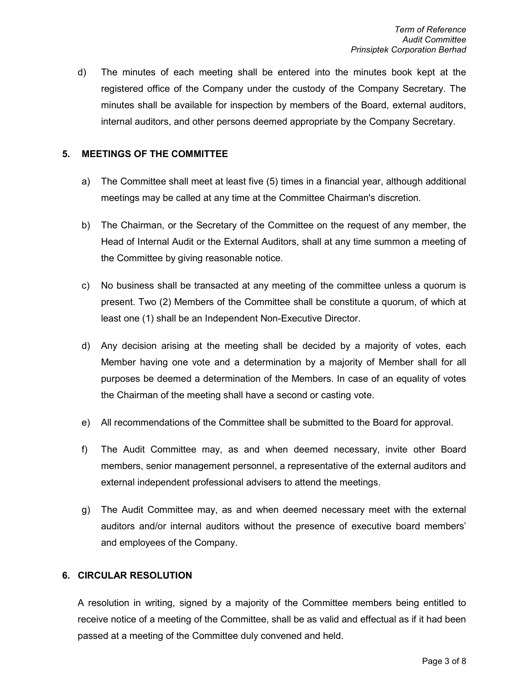d) The minutes of each meeting shall be entered into the minutes book kept at the registered office of the Company under the custody of the Company Secretary. The minutes shall be available for inspection by members of the Board, external auditors, internal auditors, and other persons deemed appropriate by the Company Secretary.

#### 5. MEETINGS OF THE COMMITTEE

- a) The Committee shall meet at least five (5) times in a financial year, although additional meetings may be called at any time at the Committee Chairman's discretion.
- b) The Chairman, or the Secretary of the Committee on the request of any member, the Head of Internal Audit or the External Auditors, shall at any time summon a meeting of the Committee by giving reasonable notice.
- c) No business shall be transacted at any meeting of the committee unless a quorum is present. Two (2) Members of the Committee shall be constitute a quorum, of which at least one (1) shall be an Independent Non-Executive Director.
- d) Any decision arising at the meeting shall be decided by a majority of votes, each Member having one vote and a determination by a majority of Member shall for all purposes be deemed a determination of the Members. In case of an equality of votes the Chairman of the meeting shall have a second or casting vote.
- e) All recommendations of the Committee shall be submitted to the Board for approval.
- f) The Audit Committee may, as and when deemed necessary, invite other Board members, senior management personnel, a representative of the external auditors and external independent professional advisers to attend the meetings.
- g) The Audit Committee may, as and when deemed necessary meet with the external auditors and/or internal auditors without the presence of executive board members' and employees of the Company.

#### 6. CIRCULAR RESOLUTION

A resolution in writing, signed by a majority of the Committee members being entitled to receive notice of a meeting of the Committee, shall be as valid and effectual as if it had been passed at a meeting of the Committee duly convened and held.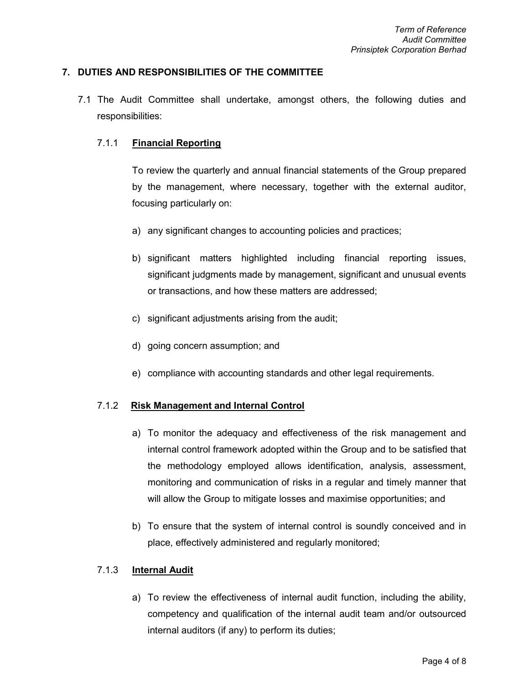#### 7. DUTIES AND RESPONSIBILITIES OF THE COMMITTEE

 7.1 The Audit Committee shall undertake, amongst others, the following duties and responsibilities:

#### 7.1.1 Financial Reporting

 To review the quarterly and annual financial statements of the Group prepared by the management, where necessary, together with the external auditor, focusing particularly on:

- a) any significant changes to accounting policies and practices;
- b) significant matters highlighted including financial reporting issues, significant judgments made by management, significant and unusual events or transactions, and how these matters are addressed;
- c) significant adjustments arising from the audit;
- d) going concern assumption; and
- e) compliance with accounting standards and other legal requirements.

#### 7.1.2 Risk Management and Internal Control

- a) To monitor the adequacy and effectiveness of the risk management and internal control framework adopted within the Group and to be satisfied that the methodology employed allows identification, analysis, assessment, monitoring and communication of risks in a regular and timely manner that will allow the Group to mitigate losses and maximise opportunities; and
- b) To ensure that the system of internal control is soundly conceived and in place, effectively administered and regularly monitored;

#### 7.1.3 **Internal Audit**

a) To review the effectiveness of internal audit function, including the ability, competency and qualification of the internal audit team and/or outsourced internal auditors (if any) to perform its duties;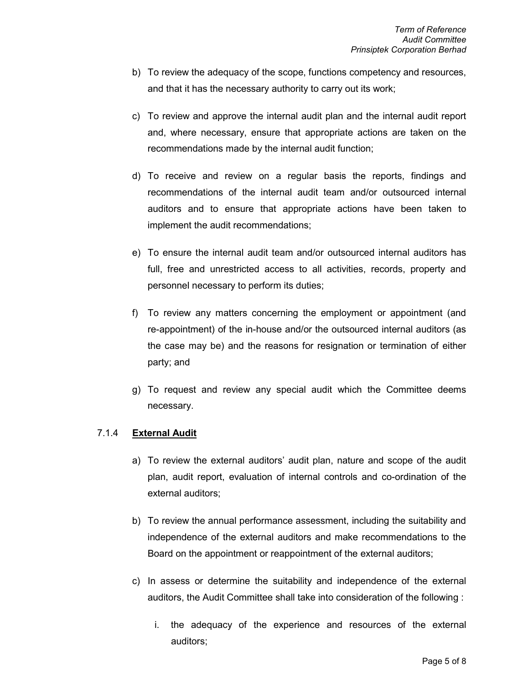- b) To review the adequacy of the scope, functions competency and resources, and that it has the necessary authority to carry out its work;
- c) To review and approve the internal audit plan and the internal audit report and, where necessary, ensure that appropriate actions are taken on the recommendations made by the internal audit function;
- d) To receive and review on a regular basis the reports, findings and recommendations of the internal audit team and/or outsourced internal auditors and to ensure that appropriate actions have been taken to implement the audit recommendations;
- e) To ensure the internal audit team and/or outsourced internal auditors has full, free and unrestricted access to all activities, records, property and personnel necessary to perform its duties;
- f) To review any matters concerning the employment or appointment (and re-appointment) of the in-house and/or the outsourced internal auditors (as the case may be) and the reasons for resignation or termination of either party; and
- g) To request and review any special audit which the Committee deems necessary.

## 7.1.4 External Audit

- a) To review the external auditors' audit plan, nature and scope of the audit plan, audit report, evaluation of internal controls and co-ordination of the external auditors;
- b) To review the annual performance assessment, including the suitability and independence of the external auditors and make recommendations to the Board on the appointment or reappointment of the external auditors;
- c) In assess or determine the suitability and independence of the external auditors, the Audit Committee shall take into consideration of the following :
	- i. the adequacy of the experience and resources of the external auditors;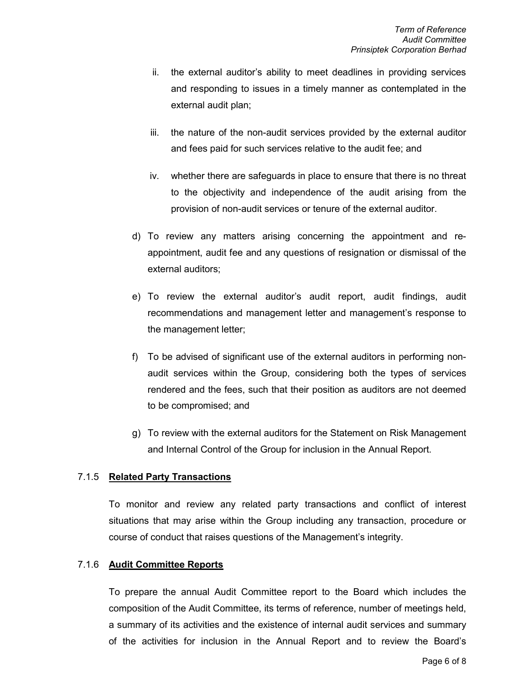- ii. the external auditor's ability to meet deadlines in providing services and responding to issues in a timely manner as contemplated in the external audit plan;
- iii. the nature of the non-audit services provided by the external auditor and fees paid for such services relative to the audit fee; and
- iv. whether there are safeguards in place to ensure that there is no threat to the objectivity and independence of the audit arising from the provision of non-audit services or tenure of the external auditor.
- d) To review any matters arising concerning the appointment and reappointment, audit fee and any questions of resignation or dismissal of the external auditors;
- e) To review the external auditor's audit report, audit findings, audit recommendations and management letter and management's response to the management letter;
- f) To be advised of significant use of the external auditors in performing nonaudit services within the Group, considering both the types of services rendered and the fees, such that their position as auditors are not deemed to be compromised; and
- g) To review with the external auditors for the Statement on Risk Management and Internal Control of the Group for inclusion in the Annual Report.

#### 7.1.5 Related Party Transactions

To monitor and review any related party transactions and conflict of interest situations that may arise within the Group including any transaction, procedure or course of conduct that raises questions of the Management's integrity.

#### 7.1.6 Audit Committee Reports

To prepare the annual Audit Committee report to the Board which includes the composition of the Audit Committee, its terms of reference, number of meetings held, a summary of its activities and the existence of internal audit services and summary of the activities for inclusion in the Annual Report and to review the Board's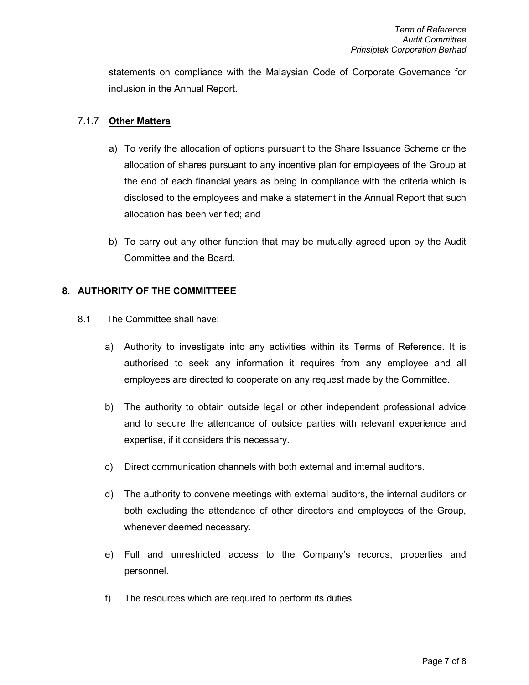statements on compliance with the Malaysian Code of Corporate Governance for inclusion in the Annual Report.

### 7.1.7 Other Matters

- a) To verify the allocation of options pursuant to the Share Issuance Scheme or the allocation of shares pursuant to any incentive plan for employees of the Group at the end of each financial years as being in compliance with the criteria which is disclosed to the employees and make a statement in the Annual Report that such allocation has been verified; and
- b) To carry out any other function that may be mutually agreed upon by the Audit Committee and the Board.

#### 8. AUTHORITY OF THE COMMITTEEE

- 8.1 The Committee shall have:
	- a) Authority to investigate into any activities within its Terms of Reference. It is authorised to seek any information it requires from any employee and all employees are directed to cooperate on any request made by the Committee.
	- b) The authority to obtain outside legal or other independent professional advice and to secure the attendance of outside parties with relevant experience and expertise, if it considers this necessary.
	- c) Direct communication channels with both external and internal auditors.
	- d) The authority to convene meetings with external auditors, the internal auditors or both excluding the attendance of other directors and employees of the Group, whenever deemed necessary.
	- e) Full and unrestricted access to the Company's records, properties and personnel.
	- f) The resources which are required to perform its duties.